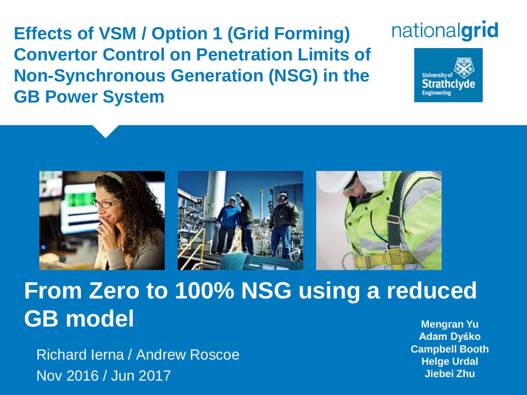**Effects of VSM / Option 1 (Grid Forming) Convertor Control on Penetration Limits of Non-Synchronous Generation (NSG) in the GB Power System**

# nationalgrid





# **From Zero to 100% NSG using a reduced GB** model **Mengran Yu Mengran Yu**

Richard Ierna / Andrew Roscoe Nov 2016 / Jun 2017

**Adam Dyśko Campbell Booth Helge Urdal Jiebei Zhu**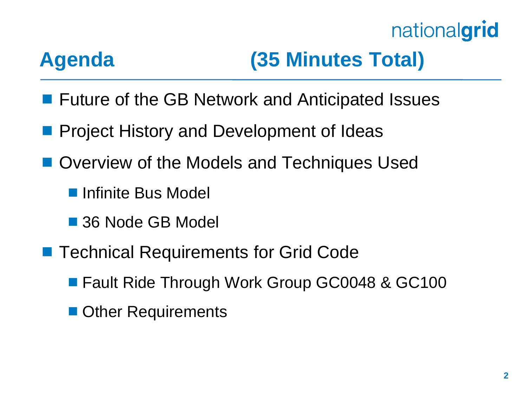# **Agenda (35 Minutes Total)**

- **Future of the GB Network and Anticipated Issues**
- **Project History and Development of Ideas**
- Overview of the Models and Techniques Used
	- **Infinite Bus Model**
	- 36 Node GB Model
- Technical Requirements for Grid Code
	- Fault Ride Through Work Group GC0048 & GC100
	- **Other Requirements**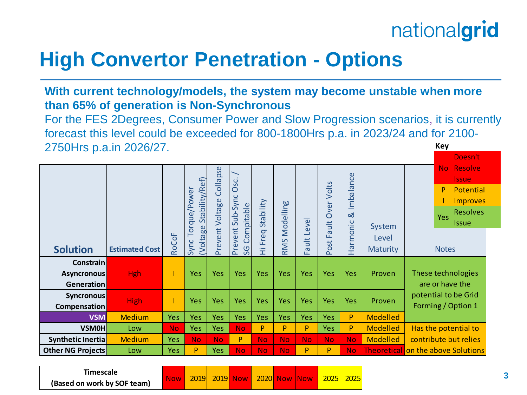## **High Convertor Penetration - Options**

**With current technology/models, the system may become unstable when more than 65% of generation is Non-Synchronous**

**Key** For the FES 2Degrees, Consumer Power and Slow Progression scenarios, it is currently forecast this level could be exceeded for 800-1800Hrs p.a. in 2023/24 and for 2100- 2750Hrs p.a.in 2026/27.

|                                                      |                       |              | Stability/Ref)<br>/Power<br>Torque, | Collapse<br>Voltage | Osc.<br>Sub-Sync<br>Compitable | Stability  | Modelling  | evel                           | Volts<br>Over<br>$\ddot{=}$ | Imbalance<br>$\infty$ | System                   | Doesn't<br><b>Resolve</b><br><b>No</b><br><b>Issue</b><br>P<br>Potential<br><b>Improves</b><br><b>Resolves</b><br>Yes<br><b>Issue</b> |  |
|------------------------------------------------------|-----------------------|--------------|-------------------------------------|---------------------|--------------------------------|------------|------------|--------------------------------|-----------------------------|-----------------------|--------------------------|---------------------------------------------------------------------------------------------------------------------------------------|--|
| <b>Solution</b>                                      | <b>Estimated Cost</b> | <b>RoCoF</b> | <b>Woltage</b><br>Sync              | Prevent             | event<br>SG<br>ΣÉ              | Freq<br>Ξ  | RMS        | $\frac{1}{2}$<br>$\sigma$<br>ட | ത<br>ш<br>Post              | Harmonic              | Level<br><b>Maturity</b> | <b>Notes</b>                                                                                                                          |  |
| <b>Constrain</b><br><b>Asyncronous</b><br>Generation | <b>Hgh</b>            |              | <b>Yes</b>                          | Yes                 | <b>Yes</b>                     | <b>Yes</b> | <b>Yes</b> | <b>Yes</b>                     | <b>Yes</b>                  | Yes                   | Proven                   | These technologies<br>are or have the<br>potential to be Grid<br>Forming / Option 1                                                   |  |
| <b>Syncronous</b><br><b>Compensation</b>             | <b>High</b>           |              | <b>Yes</b>                          | Yes                 | Yes                            | Yes        | <b>Yes</b> | <b>Yes</b>                     | <b>Yes</b>                  | Yes                   | Proven                   |                                                                                                                                       |  |
| <b>VSM</b>                                           | <b>Medium</b>         | <b>Yes</b>   | <b>Yes</b>                          | <b>Yes</b>          | <b>Yes</b>                     | Yes        | <b>Yes</b> | <b>Yes</b>                     | <b>Yes</b>                  | P                     | <b>Modelled</b>          |                                                                                                                                       |  |
| <b>VSMOH</b>                                         | Low                   | <b>No</b>    | <b>Yes</b>                          | <b>Yes</b>          | No.                            | P          | P.         | P                              | <b>Yes</b>                  | P                     | <b>Modelled</b>          | Has the potential to                                                                                                                  |  |
| Synthetic Inertia                                    | <b>Medium</b>         | <b>Yes</b>   | No.                                 | No.                 | P                              | <b>No</b>  | No.        | <b>No</b>                      | <b>No</b>                   | <b>No</b>             | <b>Modelled</b>          | contribute but relies                                                                                                                 |  |
| Other NG Projects                                    | Low                   | <b>Yes</b>   | P                                   | <b>Yes</b>          | No.                            | <b>No</b>  | No.        | P                              | P                           | <b>No</b>             |                          | <b>Theoretical on the above Solutions</b>                                                                                             |  |
|                                                      |                       |              |                                     |                     |                                |            |            |                                |                             |                       |                          |                                                                                                                                       |  |

**Timescale (Based on work by SOF team)**

Now 2019 2019 Now 2020 Now Now 2025 2025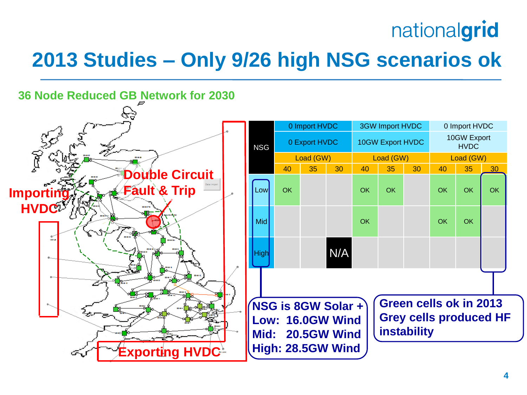# **2013 Studies – Only 9/26 high NSG scenarios ok**

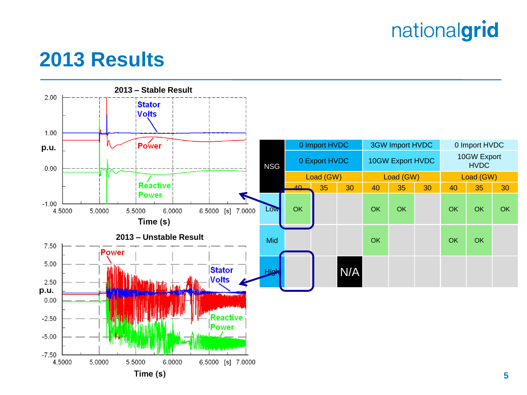### **2013 Results**

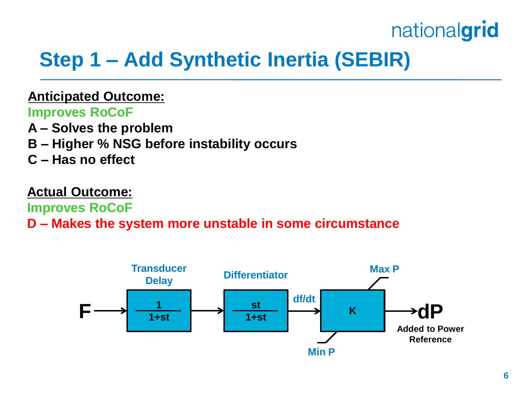# **Step 1 – Add Synthetic Inertia (SEBIR)**

#### **Anticipated Outcome:**

**Improves RoCoF**

- **A – Solves the problem**
- **B – Higher % NSG before instability occurs**
- **C – Has no effect**

#### **Actual Outcome:**

**Improves RoCoF**

#### **D – Makes the system more unstable in some circumstance**

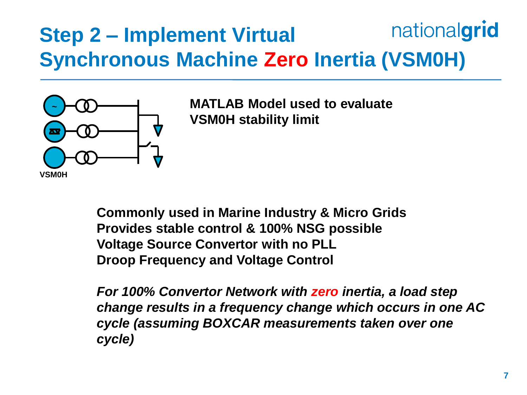### nationalgrid **Step 2 – Implement Virtual Synchronous Machine Zero Inertia (VSM0H)**



**MATLAB Model used to evaluate VSM0H stability limit**

**Commonly used in Marine Industry & Micro Grids Provides stable control & 100% NSG possible Voltage Source Convertor with no PLL Droop Frequency and Voltage Control**

*For 100% Convertor Network with zero inertia, a load step change results in a frequency change which occurs in one AC cycle (assuming BOXCAR measurements taken over one cycle)*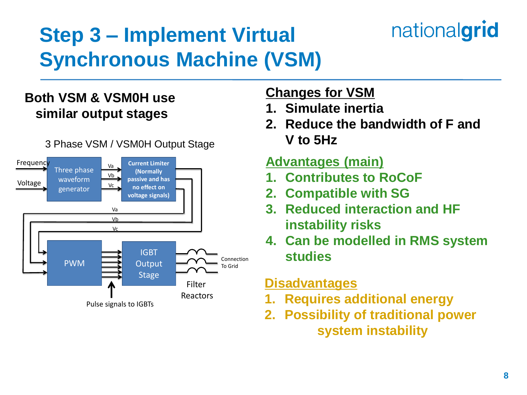# **Step 3 – Implement Virtual Synchronous Machine (VSM)**

### **Both VSM & VSM0H use similar output stages**



#### 3 Phase VSM / VSM0H Output Stage

### **Changes for VSM**

- **1. Simulate inertia**
- **2. Reduce the bandwidth of F and V to 5Hz**

#### **Advantages (main)**

- **1. Contributes to RoCoF**
- **2. Compatible with SG**
- **3. Reduced interaction and HF instability risks**
- **4. Can be modelled in RMS system studies**

#### **Disadvantages**

- **1. Requires additional energy**
- **2. Possibility of traditional power system instability**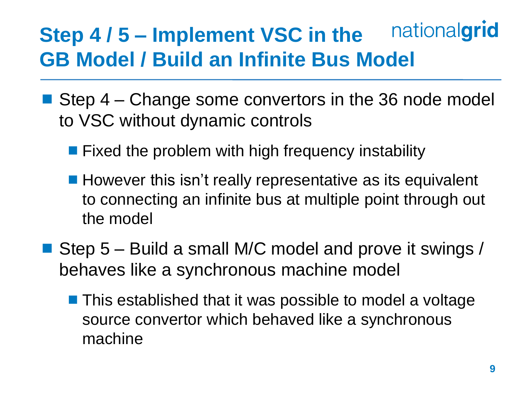### nationalgrid **Step 4 / 5 – Implement VSC in the GB Model / Build an Infinite Bus Model**

- Step 4 Change some convertors in the 36 node model to VSC without dynamic controls
	- **Fixed the problem with high frequency instability**
	- However this isn't really representative as its equivalent to connecting an infinite bus at multiple point through out the model
- Step 5 Build a small M/C model and prove it swings / behaves like a synchronous machine model
	- This established that it was possible to model a voltage source convertor which behaved like a synchronous machine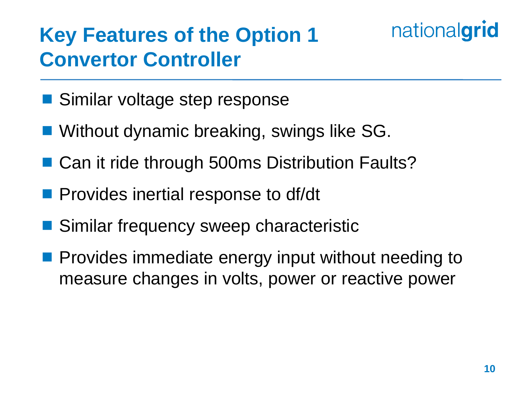# **Key Features of the Option 1 Convertor Controller**

- Similar voltage step response
- Without dynamic breaking, swings like SG.
- Can it ride through 500ms Distribution Faults?
- **Provides inertial response to df/dt**
- Similar frequency sweep characteristic
- **Provides immediate energy input without needing to** measure changes in volts, power or reactive power

nationalgrid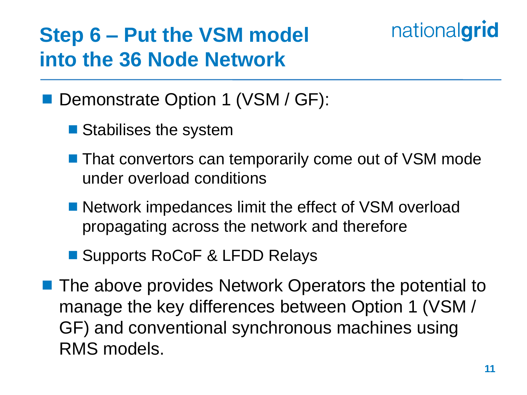# **Step 6 – Put the VSM model into the 36 Node Network**

### ■ Demonstrate Option 1 (VSM / GF):

- Stabilises the system
- **That convertors can temporarily come out of VSM mode** under overload conditions
- Network impedances limit the effect of VSM overload propagating across the network and therefore
- Supports RoCoF & LFDD Relays
- **The above provides Network Operators the potential to** manage the key differences between Option 1 (VSM / GF) and conventional synchronous machines using RMS models.

nationalgrid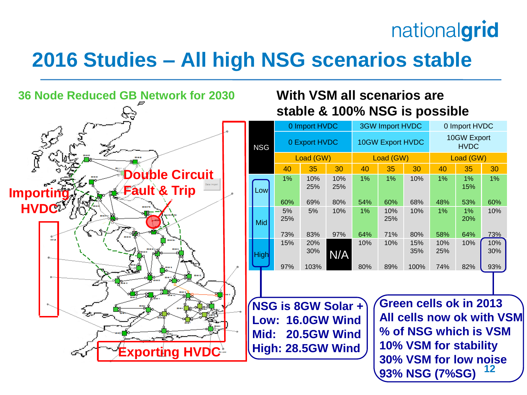# **2016 Studies – All high NSG scenarios stable**



#### **With VSM all scenarios are stable & 100% NSG is possible**

|             |           | 0 Import HVDC |            |       | <b>3GW Import HVDC</b>  |            | 0 Import HVDC              |                  |            |  |
|-------------|-----------|---------------|------------|-------|-------------------------|------------|----------------------------|------------------|------------|--|
| <b>NSG</b>  |           | 0 Export HVDC |            |       | <b>10GW Export HVDC</b> |            | 10GW Export<br><b>HVDC</b> |                  |            |  |
|             |           | Load (GW)     |            |       | Load (GW)               |            | Load (GW)                  |                  |            |  |
|             | 40        | 35            | 30         | 40    | 35                      | 30         | 40                         | 35               | 30         |  |
| Lowl        | 1%        | 10%<br>25%    | 10%<br>25% | $1\%$ | 1%                      | 10%        | 1%                         | 1%<br>15%        | $1\%$      |  |
|             | 60%       | 69%           | 80%        | 54%   | 60%                     | 68%        | 48%                        | 53%              | 60%        |  |
| <b>Mid</b>  | 5%<br>25% | 5%            | 10%        | 1%    | 10%<br>25%              | 10%        | $1\%$                      | 1%<br><b>20%</b> | 10%        |  |
|             | 73%       | 83%           | 97%        | 64%   | 71%                     | 80%        | 58%                        | 64%              | 73%        |  |
| <b>High</b> | 15%       | 20%<br>30%    | N/A        | 10%   | 10%                     | 15%<br>35% | 10%<br>25%                 | 10%              | 10%<br>30% |  |
|             | 97%       | 103%          |            | 80%   | 89%                     | 100%       | 74%                        | 82%              | 93%        |  |

**NSG is 8GW Solar + Low: 16.0GW Wind Mid: 20.5GW Wind High: 28.5GW Wind**

**12 Green cells ok in 2013 All cells now ok with VSM % of NSG which is VSM 10% VSM for stability 30% VSM for low noise 93% NSG (7%SG)**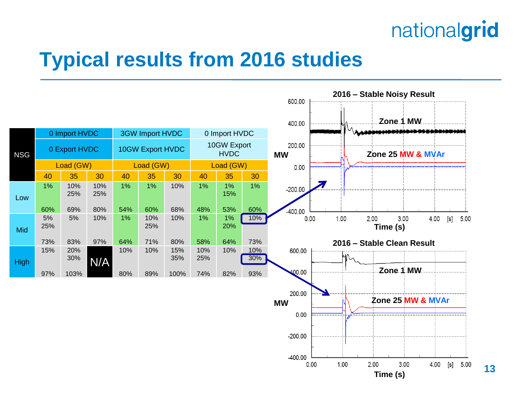

### **Typical results from 2016 studies**

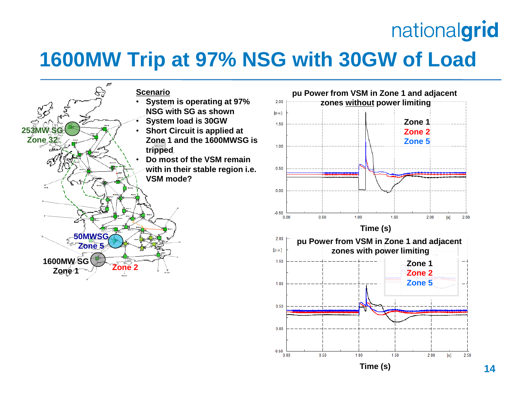### **1600MW Trip at 97% NSG with 30GW of Load**

 $-0.50$  $0.00$ 

 $0.50$ 





**Time (s)**

1.50

 $2.00$ 

 $[s] \centering% \includegraphics[width=0.9\columnwidth]{figures/fig_0a}% \includegraphics[width=0.9\columnwidth]{figures/fig_0b}% \includegraphics[width=0.9\columnwidth]{figures/fig_0b}% \includegraphics[width=0.9\columnwidth]{figures/fig_0b}% \includegraphics[width=0.9\columnwidth]{figures/fig_0b}% \includegraphics[width=0.9\columnwidth]{figures/fig_0b}% \includegraphics[width=0.9\columnwidth]{figures/fig_0b}% \includegraphics[width=0.9\columnwidth]{figures/fig_0b}% \includegraphics[width=0.9\columnwidth]{figures/fig_0b}% \includegraphics[width=0.9\columnwidth]{figures/fig_0b}% \includegraphics[width=0.9\columnwidth]{figures$ 

2.50

 $1.00$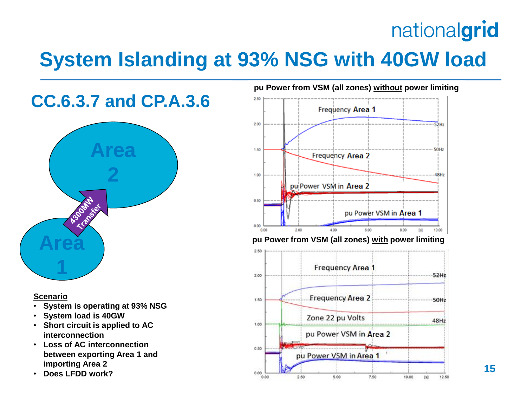# **System Islanding at 93% NSG with 40GW load**

### **CC.6.3.7 and CP.A.3.6**



#### **Scenario**

- **System is operating at 93% NSG**
- **System load is 40GW**
- **Short circuit is applied to AC interconnection**
- **Loss of AC interconnection between exporting Area 1 and importing Area 2**
- **Does LFDD work?**



### **Area pu Power from VSM (all zones) with power limiting**

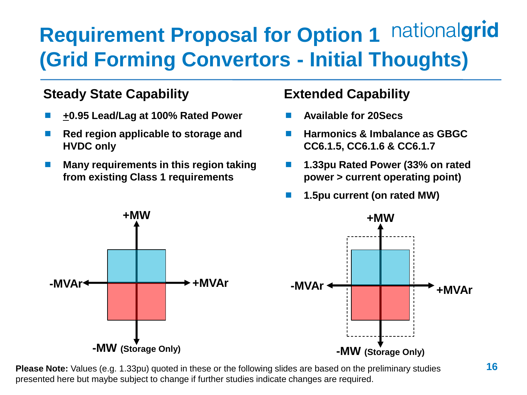### nationalgrid **Requirement Proposal for Option 1 (Grid Forming Convertors - Initial Thoughts)**

#### **Steady State Capability**

- **+0.95 Lead/Lag at 100% Rated Power**
- **Red region applicable to storage and HVDC only**
- **Many requirements in this region taking from existing Class 1 requirements**

#### **Extended Capability**

- **Available for 20Secs**
- **Harmonics & Imbalance as GBGC CC6.1.5, CC6.1.6 & CC6.1.7**
- **1.33pu Rated Power (33% on rated power > current operating point)**
- **1.5pu current (on rated MW)**



**Please Note:** Values (e.g. 1.33pu) quoted in these or the following slides are based on the preliminary studies presented here but maybe subject to change if further studies indicate changes are required.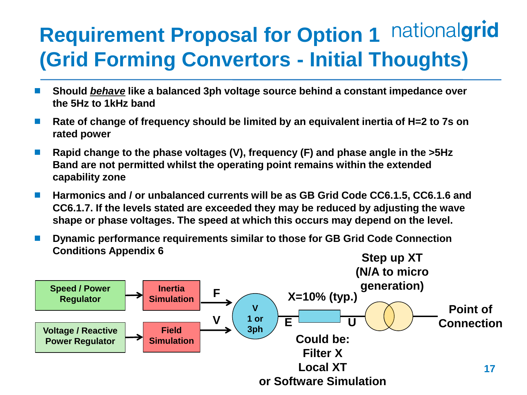### nationalgrid **Requirement Proposal for Option 1 (Grid Forming Convertors - Initial Thoughts)**

- **Should** *behave* **like a balanced 3ph voltage source behind a constant impedance over the 5Hz to 1kHz band**
- **Rate of change of frequency should be limited by an equivalent inertia of H=2 to 7s on rated power**
- **Rapid change to the phase voltages (V), frequency (F) and phase angle in the >5Hz Band are not permitted whilst the operating point remains within the extended capability zone**
- Harmonics and / or unbalanced currents will be as GB Grid Code CC6.1.5, CC6.1.6 and **CC6.1.7. If the levels stated are exceeded they may be reduced by adjusting the wave shape or phase voltages. The speed at which this occurs may depend on the level.**
- **Dynamic performance requirements similar to those for GB Grid Code Connection Conditions Appendix 6**

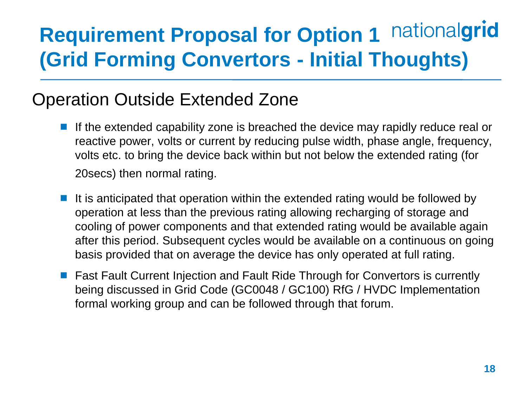# **Requirement Proposal for Option 1 nationalgrid (Grid Forming Convertors - Initial Thoughts)**

### Operation Outside Extended Zone

- If the extended capability zone is breached the device may rapidly reduce real or reactive power, volts or current by reducing pulse width, phase angle, frequency, volts etc. to bring the device back within but not below the extended rating (for 20secs) then normal rating.
- It is anticipated that operation within the extended rating would be followed by operation at less than the previous rating allowing recharging of storage and cooling of power components and that extended rating would be available again after this period. Subsequent cycles would be available on a continuous on going basis provided that on average the device has only operated at full rating.
- Fast Fault Current Injection and Fault Ride Through for Convertors is currently being discussed in Grid Code (GC0048 / GC100) RfG / HVDC Implementation formal working group and can be followed through that forum.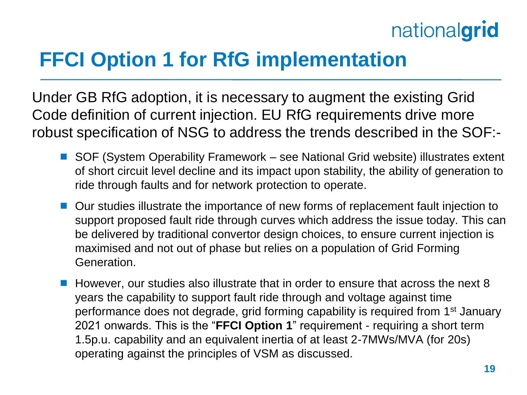# **FFCI Option 1 for RfG implementation**

Under GB RfG adoption, it is necessary to augment the existing Grid Code definition of current injection. EU RfG requirements drive more robust specification of NSG to address the trends described in the SOF:-

- SOF (System Operability Framework see National Grid website) illustrates extent of short circuit level decline and its impact upon stability, the ability of generation to ride through faults and for network protection to operate.
- Our studies illustrate the importance of new forms of replacement fault injection to support proposed fault ride through curves which address the issue today. This can be delivered by traditional convertor design choices, to ensure current injection is maximised and not out of phase but relies on a population of Grid Forming Generation.
- However, our studies also illustrate that in order to ensure that across the next 8 years the capability to support fault ride through and voltage against time performance does not degrade, grid forming capability is required from 1<sup>st</sup> January 2021 onwards. This is the "**FFCI Option 1**" requirement - requiring a short term 1.5p.u. capability and an equivalent inertia of at least 2-7MWs/MVA (for 20s) operating against the principles of VSM as discussed.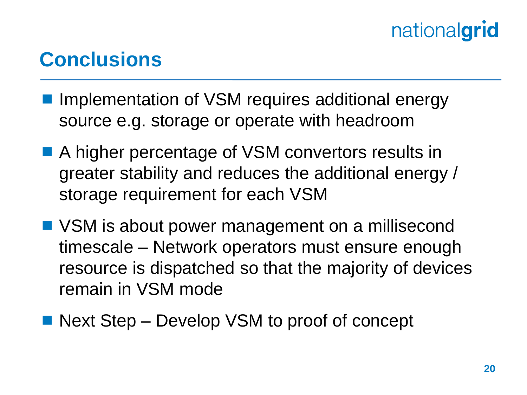### **Conclusions**

- Implementation of VSM requires additional energy source e.g. storage or operate with headroom
- A higher percentage of VSM convertors results in greater stability and reduces the additional energy / storage requirement for each VSM
- VSM is about power management on a millisecond timescale – Network operators must ensure enough resource is dispatched so that the majority of devices remain in VSM mode
- Next Step Develop VSM to proof of concept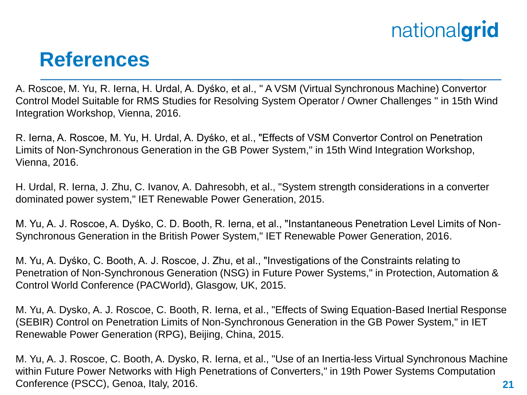### **References**

A. Roscoe, M. Yu, R. Ierna, H. Urdal, A. Dyśko, et al., " A VSM (Virtual Synchronous Machine) Convertor Control Model Suitable for RMS Studies for Resolving System Operator / Owner Challenges " in 15th Wind Integration Workshop, Vienna, 2016.

R. Ierna, A. Roscoe, M. Yu, H. Urdal, A. Dyśko, et al., "Effects of VSM Convertor Control on Penetration Limits of Non-Synchronous Generation in the GB Power System," in 15th Wind Integration Workshop, Vienna, 2016.

H. Urdal, R. Ierna, J. Zhu, C. Ivanov, A. Dahresobh, et al., "System strength considerations in a converter dominated power system," IET Renewable Power Generation, 2015.

M. Yu, A. J. Roscoe, A. Dyśko, C. D. Booth, R. Ierna, et al., "Instantaneous Penetration Level Limits of Non-Synchronous Generation in the British Power System," IET Renewable Power Generation, 2016.

M. Yu, A. Dyśko, C. Booth, A. J. Roscoe, J. Zhu, et al., "Investigations of the Constraints relating to Penetration of Non-Synchronous Generation (NSG) in Future Power Systems," in Protection, Automation & Control World Conference (PACWorld), Glasgow, UK, 2015.

M. Yu, A. Dysko, A. J. Roscoe, C. Booth, R. Ierna, et al., "Effects of Swing Equation-Based Inertial Response (SEBIR) Control on Penetration Limits of Non-Synchronous Generation in the GB Power System," in IET Renewable Power Generation (RPG), Beijing, China, 2015.

**21** M. Yu, A. J. Roscoe, C. Booth, A. Dysko, R. Ierna, et al., "Use of an Inertia-less Virtual Synchronous Machine within Future Power Networks with High Penetrations of Converters," in 19th Power Systems Computation Conference (PSCC), Genoa, Italy, 2016.